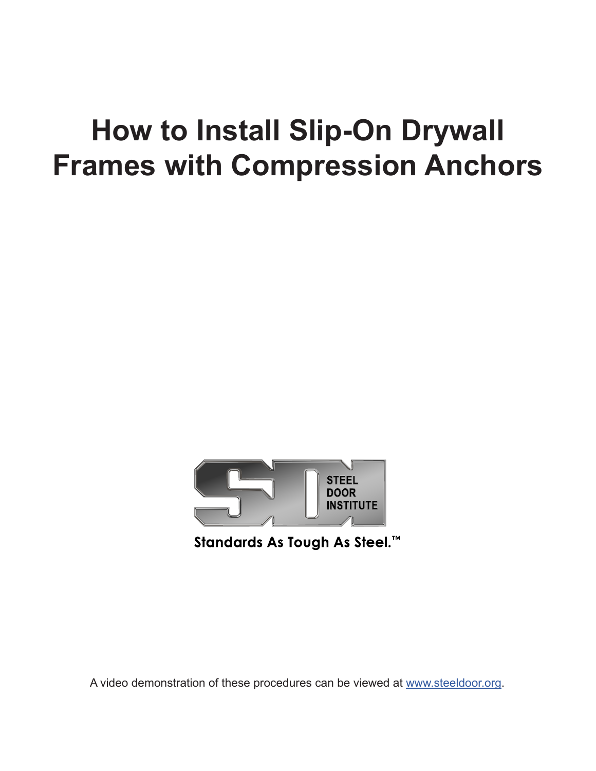## **How to Install Slip-On Drywall Frames with Compression Anchors**



Standards As Tough As Steel.<sup>™</sup>

A video demonstration of these procedures can be viewed at www.steeldoor.org.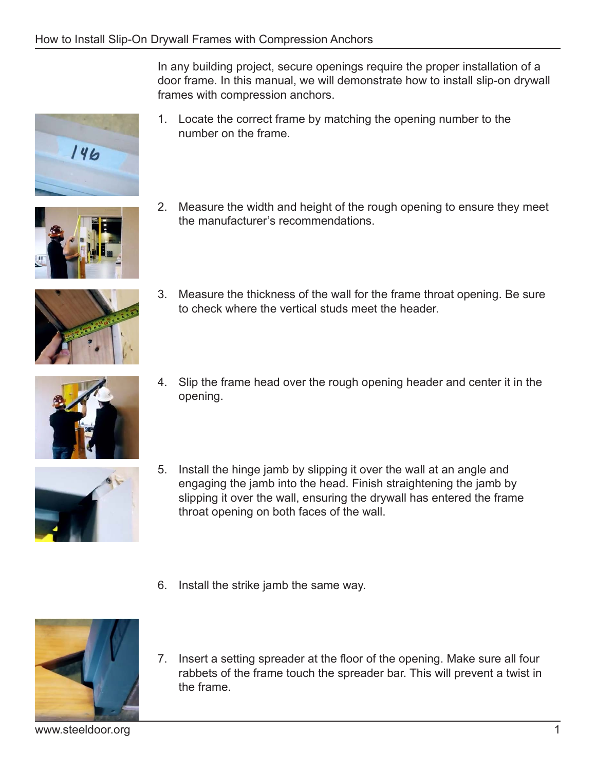In any building project, secure openings require the proper installation of a door frame. In this manual, we will demonstrate how to install slip-on drywall frames with compression anchors.

1. Locate the correct frame by matching the opening number to the number on the frame.



 $146$ 

2. Measure the width and height of the rough opening to ensure they meet the manufacturer's recommendations.



3. Measure the thickness of the wall for the frame throat opening. Be sure to check where the vertical studs meet the header.



4. Slip the frame head over the rough opening header and center it in the opening.



- 5. Install the hinge jamb by slipping it over the wall at an angle and engaging the jamb into the head. Finish straightening the jamb by slipping it over the wall, ensuring the drywall has entered the frame throat opening on both faces of the wall.
- 6. Install the strike jamb the same way.



7. Insert a setting spreader at the floor of the opening. Make sure all four rabbets of the frame touch the spreader bar. This will prevent a twist in the frame.

www.steeldoor.org